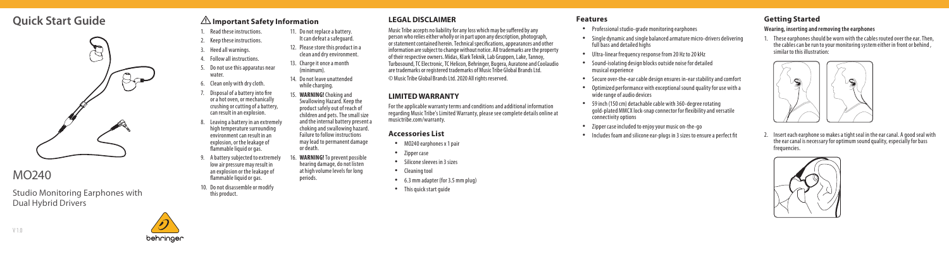## **Quick Start Guide**



# MO240

Studio Monitoring Earphones with Dual Hybrid Drivers

# behringer

1. Read these instructions. 2. Keep these instructions. 11. Do not replace a battery. It can defeat a safeguard.

! **Important Safety Information** 

- 3. Heed all warnings. 12. Please store this product in a clean and dry environment.
- 4. Follow all instructions.

water.

5. Do not use this apparatus near 13. Charge it once a month (minimum). 14. Do not leave unattended

- 6. Clean only with dry cloth.
- Disposal of a battery into fire or a hot oven, or mechanically crushing or cutting of a battery, 15. **WARNING!** Choking and Swallowing Hazard. Keep the product safely out of reach of
- can result in an explosion. . Leaving a battery in an extremely high temperature surrounding environment can result in an explosion, or the leakage of flammable liquid or gas. children and pets. The small size and the internal battery present a choking and swallowing hazard. Failure to follow instructions may lead to permanent damage or death.
- 9. A battery subjected to extremely low air pressure may result in an explosion or the leakage of flammable liquid or gas. **WARNING!** To prevent possible hearing damage, do not listen at high volume levels for long periods.

while charging.

10. Do not disassemble or modify this product.

### **LEGAL DISCLAIMER**

Music Tribe accepts no liability for any loss which may be suffered by any person who relies either wholly or in part upon any description, photograph, or statement contained herein. Technical specifications, appearances and other information are subject to change without notice. All trademarks are the property of their respective owners. Midas, Klark Teknik, Lab Gruppen, Lake, Tannoy, Turbosound, TC Electronic, TC Helicon, Behringer, Bugera, Auratone and Coolaudio are trademarks or registered trademarks of Music Tribe Global Brands Ltd. © Music Tribe Global Brands Ltd. 2020 All rights reserved.

#### **LIMITED WARRANTY**

For the applicable warranty terms and conditions and additional information regarding Music Tribe's Limited Warranty, please see complete details online at musictribe.com/warranty.

- 
- 
- 
- 
- 
- 

- 
- **Features**<br>• Professional studio-grade monitoring earphones<br>• Single dynamic and single balanced armature micro-drivers delivering full bass and detailed highs
- Ultra-linear frequency response from 20 Hz to 20 kHz Sound-isolating design blocks outside noise for detailed
- musical experience
- Secure over-the-ear cable design ensures in-ear stability and comfort<br>• Optimized performance with exceptional sound quality for use with a
- wide range of audio devices
- 59 inch (150 cm) detachable cable with 360-degree rotating gold-plated MMCX lock-snap connector for flexibility and versatile connectivity options
- 
- Zipper case included to enjoy your music on-the-go Includes foam and silicone ear-plugs in 3 sizes to ensure a perfect fit

### **Getting Started**

#### **Wearing, inserting and removing the earphones**

1. These earphones should be worn with the cables routed over the ear. Then, the cables can be run to your monitoring system either in front or behind , similar to this illustration:



2. Insert each earphone so makes a tight seal in the ear canal. A good seal with the ear canal is necessary for optimum sound quality, especially for bass frequencies.





- -
	-
	-
- **Accessories List**<br>• MO240 earphones x 1 pair<br>• Zipper case<br>• Silicone sleeves in 3 sizes<br>• Cleaning tool 6.3 mm adapter (for 3.5 mm plug)<br>• This quick start guide
	-